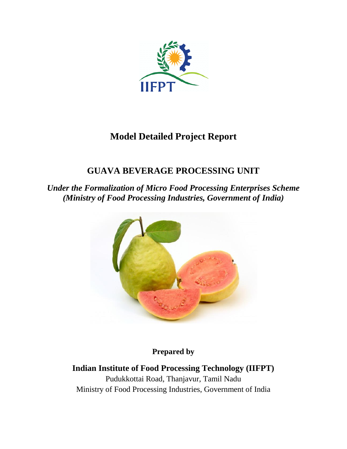

# **Model Detailed Project Report**

# **GUAVA BEVERAGE PROCESSING UNIT**

*Under the Formalization of Micro Food Processing Enterprises Scheme (Ministry of Food Processing Industries, Government of India)*



**Prepared by** 

**Indian Institute of Food Processing Technology (IIFPT)** Pudukkottai Road, Thanjavur, Tamil Nadu Ministry of Food Processing Industries, Government of India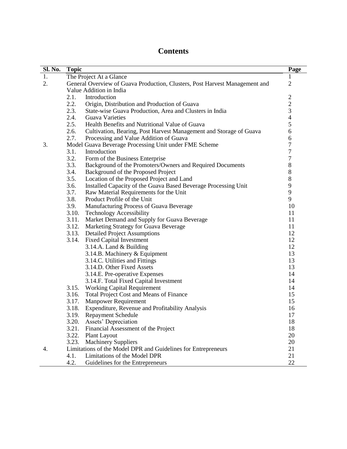# **Contents**

| Sl. No. | <b>Topic</b> |                                                                             | Page                                            |
|---------|--------------|-----------------------------------------------------------------------------|-------------------------------------------------|
| 1.      |              | The Project At a Glance                                                     | 1                                               |
| 2.      |              | General Overview of Guava Production, Clusters, Post Harvest Management and | $\mathfrak{2}$                                  |
|         |              | Value Addition in India                                                     |                                                 |
|         | 2.1.         | Introduction                                                                |                                                 |
|         | 2.2.         | Origin, Distribution and Production of Guava                                |                                                 |
|         | 2.3.         | State-wise Guava Production, Area and Clusters in India                     | $\begin{array}{c} 2 \\ 2 \\ 3 \\ 4 \end{array}$ |
|         | 2.4.         | <b>Guava Varieties</b>                                                      |                                                 |
|         | 2.5.         | Health Benefits and Nutritional Value of Guava                              | 5                                               |
|         | 2.6.         | Cultivation, Bearing, Post Harvest Management and Storage of Guava          | 6                                               |
|         | 2.7.         | Processing and Value Addition of Guava                                      | 6                                               |
| 3.      |              | Model Guava Beverage Processing Unit under FME Scheme                       | $\overline{7}$                                  |
|         | 3.1.         | Introduction                                                                | $\overline{7}$                                  |
|         | 3.2.         | Form of the Business Enterprise                                             | $\overline{7}$                                  |
|         | 3.3.         | Background of the Promoters/Owners and Required Documents                   | $\,$ $\,$                                       |
|         | 3.4.         | Background of the Proposed Project                                          | 8                                               |
|         | 3.5.         | Location of the Proposed Project and Land                                   | 8                                               |
|         | 3.6.         | Installed Capacity of the Guava Based Beverage Processing Unit              | 9                                               |
|         | 3.7.         | Raw Material Requirements for the Unit                                      | 9                                               |
|         | 3.8.         | Product Profile of the Unit                                                 | 9                                               |
|         | 3.9.         | Manufacturing Process of Guava Beverage                                     | 10                                              |
|         | 3.10.        | <b>Technology Accessibility</b>                                             | 11                                              |
|         | 3.11.        | Market Demand and Supply for Guava Beverage                                 | 11                                              |
|         | 3.12.        | Marketing Strategy for Guava Beverage                                       | 11                                              |
|         | 3.13.        | <b>Detailed Project Assumptions</b>                                         | 12                                              |
|         | 3.14.        | <b>Fixed Capital Investment</b>                                             | 12                                              |
|         |              | 3.14.A. Land $&$ Building                                                   | 12                                              |
|         |              | 3.14.B. Machinery & Equipment                                               | 13                                              |
|         |              | 3.14.C. Utilities and Fittings                                              | 13                                              |
|         |              | 3.14.D. Other Fixed Assets                                                  | 13                                              |
|         |              | 3.14.E. Pre-operative Expenses                                              | 14                                              |
|         |              | 3.14.F. Total Fixed Capital Investment                                      | 14                                              |
|         | 3.15.        | <b>Working Capital Requirement</b>                                          | 14                                              |
|         | 3.16.        | Total Project Cost and Means of Finance                                     | 15                                              |
|         | 3.17.        | <b>Manpower Requirement</b>                                                 | 15                                              |
|         | 3.18.        | Expenditure, Revenue and Profitability Analysis                             | 16                                              |
|         | 3.19.        | <b>Repayment Schedule</b>                                                   | 17                                              |
|         | 3.20.        | Assets' Depreciation                                                        | 18                                              |
|         | 3.21.        | Financial Assessment of the Project                                         | 18                                              |
|         | 3.22.        | <b>Plant Layout</b>                                                         | 20                                              |
|         | 3.23.        | <b>Machinery Suppliers</b>                                                  | 20                                              |
| 4.      |              | Limitations of the Model DPR and Guidelines for Entrepreneurs               | 21                                              |
|         | 4.1.         | Limitations of the Model DPR                                                | 21                                              |
|         | 4.2.         | Guidelines for the Entrepreneurs                                            | 22                                              |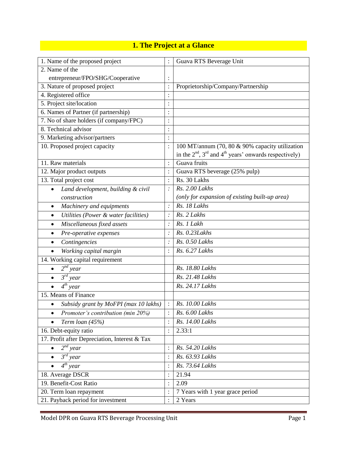# **1. The Project at a Glance**

| 1. Name of the proposed project                    |                | Guava RTS Beverage Unit                                                                                        |
|----------------------------------------------------|----------------|----------------------------------------------------------------------------------------------------------------|
| 2. Name of the                                     |                |                                                                                                                |
| entrepreneur/FPO/SHG/Cooperative                   |                |                                                                                                                |
| 3. Nature of proposed project                      |                | Proprietorship/Company/Partnership                                                                             |
| 4. Registered office                               | $\colon$       |                                                                                                                |
| 5. Project site/location                           | $\vdots$       |                                                                                                                |
| 6. Names of Partner (if partnership)               | $\ddot{\cdot}$ |                                                                                                                |
| 7. No of share holders (if company/FPC)            | $\vdots$       |                                                                                                                |
| 8. Technical advisor                               | $\ddot{\cdot}$ |                                                                                                                |
| 9. Marketing advisor/partners                      | :              |                                                                                                                |
| 10. Proposed project capacity                      | $\ddot{\cdot}$ | 100 MT/annum (70, 80 & 90% capacity utilization<br>in the $2nd$ , $3rd$ and $4th$ years' onwards respectively) |
| 11. Raw materials                                  | $\ddot{\cdot}$ | Guava fruits                                                                                                   |
| 12. Major product outputs                          | $\ddot{\cdot}$ | Guava RTS beverage (25% pulp)                                                                                  |
| 13. Total project cost                             | $\vdots$       | Rs. 30 Lakhs                                                                                                   |
| Land development, building & civil                 | $\cdot$        | Rs. 2.00 Lakhs                                                                                                 |
| construction                                       |                | (only for expansion of existing built-up area)                                                                 |
| Machinery and equipments<br>$\bullet$              | $\therefore$   | Rs. 18 Lakhs                                                                                                   |
| Utilities (Power & water facilities)<br>$\bullet$  | $\cdot$        | Rs. 2 Lakhs                                                                                                    |
| Miscellaneous fixed assets<br>٠                    | $\cdot$        | Rs. 1 Lakh                                                                                                     |
| Pre-operative expenses<br>٠                        | $\ddot{\cdot}$ | Rs. 0.23Lakhs                                                                                                  |
| Contingencies<br>$\bullet$                         | $\ddot{\cdot}$ | Rs. 0.50 Lakhs                                                                                                 |
| Working capital margin<br>$\bullet$                | $\colon$       | Rs. 6.27 Lakhs                                                                                                 |
| 14. Working capital requirement                    |                |                                                                                                                |
| $2^{nd}$ year<br>$\bullet$                         |                | Rs. 18.80 Lakhs                                                                                                |
| $\overline{3^{rd}}$ year<br>$\bullet$              |                | Rs. 21.48 Lakhs                                                                                                |
| $\overline{4^{th}}$ year                           |                | Rs. 24.17 Lakhs                                                                                                |
| 15. Means of Finance                               |                |                                                                                                                |
| Subsidy grant by MoFPI (max 10 lakhs)<br>$\bullet$ | $\ddot{\cdot}$ | Rs. 10.00 Lakhs                                                                                                |
| Promoter's contribution (min 20%)                  |                | Rs. 6.00 Lakhs                                                                                                 |
| Term loan (45%)                                    | $\colon$       | Rs. 14.00 Lakhs                                                                                                |
| 16. Debt-equity ratio                              | $\ddot{\cdot}$ | 2.33:1                                                                                                         |
| 17. Profit after Depreciation, Interest & Tax      |                |                                                                                                                |
| $2^{nd}$ year<br>$\bullet$                         | $\colon$       | Rs. 54.20 Lakhs                                                                                                |
| $\overline{\mathcal{S}^{rd}}$ year<br>$\bullet$    | $\vdots$       | Rs. 63.93 Lakhs                                                                                                |
| $\overline{4^{th}}$ year<br>$\bullet$              | $\colon$       | Rs. 73.64 Lakhs                                                                                                |
| 18. Average DSCR                                   | $\ddot{\cdot}$ | 21.94                                                                                                          |
| 19. Benefit-Cost Ratio                             | $\colon$       | 2.09                                                                                                           |
| 20. Term loan repayment                            | $\ddot{\cdot}$ | 7 Years with 1 year grace period                                                                               |
| 21. Payback period for investment                  | $\colon$       | 2 Years                                                                                                        |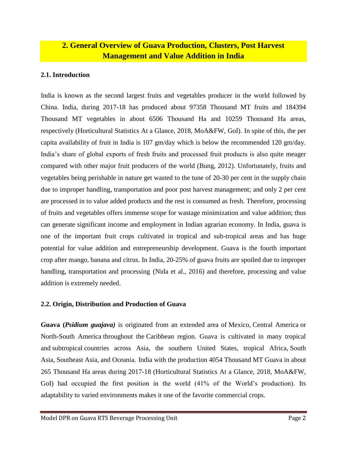# **2. General Overview of Guava Production, Clusters, Post Harvest Management and Value Addition in India**

### **2.1. Introduction**

India is known as the second largest fruits and vegetables producer in the world followed by China. India, during 2017-18 has produced about 97358 Thousand MT fruits and 184394 Thousand MT vegetables in about 6506 Thousand Ha and 10259 Thousand Ha areas, respectively (Horticultural Statistics At a Glance, 2018, MoA&FW, GoI). In spite of this, the per capita availability of fruit in India is 107 gm/day which is below the recommended 120 gm/day. India's share of global exports of fresh fruits and processed fruit products is also quite meager compared with other major fruit producers of the world (Bung, 2012). Unfortunately, fruits and vegetables being perishable in nature get wasted to the tune of 20-30 per cent in the supply chain due to improper handling, transportation and poor post harvest management; and only 2 per cent are processed in to value added products and the rest is consumed as fresh. Therefore, processing of fruits and vegetables offers immense scope for wastage minimization and value addition; thus can generate significant income and employment in Indian agrarian economy. In India, guava is one of the important fruit crops cultivated in tropical and sub-tropical areas and has huge potential for value addition and entrepreneurship development. Guava is the fourth important crop after mango, banana and citrus. In India, 20-25% of guava fruits are spoiled due to improper handling, transportation and processing (Nida et al., 2016) and therefore, processing and value addition is extremely needed.

### **2.2. Origin, Distribution and Production of Guava**

**Guava (***[Psidium guajava\)](https://en.wikipedia.org/wiki/Psidium_guajava)* is originated from an extended area of [Mexico,](https://en.wikipedia.org/wiki/Mexico) [Central America](https://en.wikipedia.org/wiki/Central_America) or North[-South America](https://en.wikipedia.org/wiki/South_America) throughout the [Caribbean region.](https://en.wikipedia.org/wiki/Caribbean_region) Guava is cultivated in many tropical and [subtropical](https://en.wikipedia.org/wiki/Subtropical) countries across Asia, the southern United States, tropical Africa, [South](https://en.wikipedia.org/wiki/South_Asia)  [Asia,](https://en.wikipedia.org/wiki/South_Asia) [Southeast Asia,](https://en.wikipedia.org/wiki/Southeast_Asia) and [Oceania.](https://en.wikipedia.org/wiki/Oceania) India with the production 4054 Thousand MT Guava in about 265 Thousand Ha areas during 2017-18 (Horticultural Statistics At a Glance, 2018, MoA&FW, GoI) had occupied the first position in the world (41% of the World's production). Its adaptability to varied environments makes it one of the favorite commercial crops.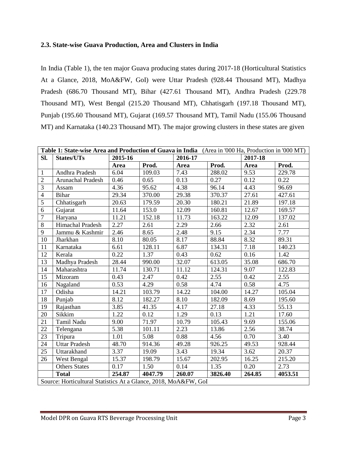### **2.3. State-wise Guava Production, Area and Clusters in India**

In India (Table 1), the ten major Guava producing states during 2017-18 (Horticultural Statistics At a Glance, 2018, MoA&FW, GoI) were Uttar Pradesh (928.44 Thousand MT), Madhya Pradesh (686.70 Thousand MT), Bihar (427.61 Thousand MT), Andhra Pradesh (229.78 Thousand MT), West Bengal (215.20 Thousand MT), Chhatisgarh (197.18 Thousand MT), Punjab (195.60 Thousand MT), Gujarat (169.57 Thousand MT), Tamil Nadu (155.06 Thousand MT) and Karnataka (140.23 Thousand MT). The major growing clusters in these states are given

|                | Table 1: State-wise Area and Production of Guava in India (Area in '000 Ha, Production in '000 MT) |         |         |         |         |         |         |  |
|----------------|----------------------------------------------------------------------------------------------------|---------|---------|---------|---------|---------|---------|--|
| SI.            | States/UTs                                                                                         | 2015-16 |         | 2016-17 |         | 2017-18 |         |  |
|                |                                                                                                    | Area    | Prod.   | Area    | Prod.   | Area    | Prod.   |  |
| $\mathbf{1}$   | Andhra Pradesh                                                                                     | 6.04    | 109.03  | 7.43    | 288.02  | 9.53    | 229.78  |  |
| $\overline{2}$ | Arunachal Pradesh                                                                                  | 0.46    | 0.65    | 0.13    | 0.27    | 0.12    | 0.22    |  |
| $\overline{3}$ | Assam                                                                                              | 4.36    | 95.62   | 4.38    | 96.14   | 4.43    | 96.69   |  |
| $\overline{4}$ | Bihar                                                                                              | 29.34   | 370.00  | 29.38   | 370.37  | 27.61   | 427.61  |  |
| $\overline{5}$ | Chhatisgarh                                                                                        | 20.63   | 179.59  | 20.30   | 180.21  | 21.89   | 197.18  |  |
| 6              | Gujarat                                                                                            | 11.64   | 153.0   | 12.09   | 160.81  | 12.67   | 169.57  |  |
| $\overline{7}$ | Haryana                                                                                            | 11.21   | 152.18  | 11.73   | 163.22  | 12.09   | 137.02  |  |
| $\overline{8}$ | Himachal Pradesh                                                                                   | 2.27    | 2.61    | 2.29    | 2.66    | 2.32    | 2.61    |  |
| 9              | Jammu & Kashmir                                                                                    | 2.46    | 8.65    | 2.48    | 9.15    | 2.34    | 7.77    |  |
| 10             | Jharkhan                                                                                           | 8.10    | 80.05   | 8.17    | 88.84   | 8.32    | 89.31   |  |
| 11             | Karnataka                                                                                          | 6.61    | 128.11  | 6.87    | 134.31  | 7.18    | 140.23  |  |
| 12             | Kerala                                                                                             | 0.22    | 1.37    | 0.43    | 0.62    | 0.16    | 1.42    |  |
| 13             | Madhya Pradesh                                                                                     | 28.44   | 990.00  | 32.07   | 613.05  | 35.08   | 686.70  |  |
| 14             | Maharashtra                                                                                        | 11.74   | 130.71  | 11.12   | 124.31  | 9.07    | 122.83  |  |
| 15             | Mizoram                                                                                            | 0.43    | 2.47    | 0.42    | 2.55    | 0.42    | 2.55    |  |
| 16             | Nagaland                                                                                           | 0.53    | 4.29    | 0.58    | 4.74    | 0.58    | 4.75    |  |
| 17             | Odisha                                                                                             | 14.21   | 103.79  | 14.22   | 104.00  | 14.27   | 105.04  |  |
| 18             | Punjab                                                                                             | 8.12    | 182.27  | 8.10    | 182.09  | 8.69    | 195.60  |  |
| 19             | Rajasthan                                                                                          | 3.85    | 41.35   | 4.17    | 27.18   | 4.33    | 55.13   |  |
| 20             | Sikkim                                                                                             | 1.22    | 0.12    | 1.29    | 0.13    | 1.21    | 17.60   |  |
| 21             | Tamil Nadu                                                                                         | 9.00    | 71.97   | 10.79   | 105.43  | 9.69    | 155.06  |  |
| 22             | Telengana                                                                                          | 5.38    | 101.11  | 2.23    | 13.86   | 2.56    | 38.74   |  |
| 23             | Tripura                                                                                            | 1.01    | 5.08    | 0.88    | 4.56    | 0.70    | 3.40    |  |
| 24             | <b>Uttar Pradesh</b>                                                                               | 48.70   | 914.36  | 49.28   | 926.25  | 49.53   | 928.44  |  |
| 25             | Uttarakhand                                                                                        | 3.37    | 19.09   | 3.43    | 19.34   | 3.62    | 20.37   |  |
| 26             | West Bengal                                                                                        | 15.37   | 198.79  | 15.67   | 202.95  | 16.25   | 215.20  |  |
|                | <b>Others States</b>                                                                               | 0.17    | 1.50    | 0.14    | 1.35    | 0.20    | 2.73    |  |
|                | <b>Total</b>                                                                                       | 254.87  | 4047.79 | 260.07  | 3826.40 | 264.85  | 4053.51 |  |
|                | Source: Horticultural Statistics At a Glance, 2018, MoA&FW, GoI                                    |         |         |         |         |         |         |  |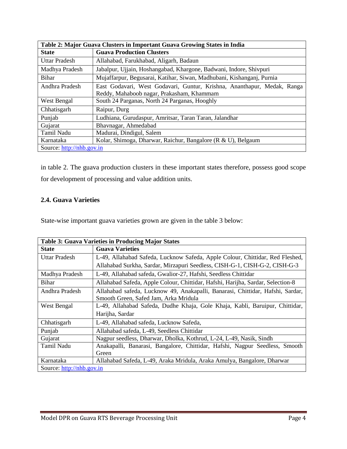| Table 2: Major Guava Clusters in Important Guava Growing States in India  |                                                                         |  |  |  |
|---------------------------------------------------------------------------|-------------------------------------------------------------------------|--|--|--|
| <b>State</b>                                                              | <b>Guava Production Clusters</b>                                        |  |  |  |
| <b>Uttar Pradesh</b>                                                      | Allahabad, Farukhabad, Aligarh, Badaun                                  |  |  |  |
| Madhya Pradesh                                                            | Jabalpur, Ujjain, Hoshangabad, Khargone, Badwani, Indore, Shivpuri      |  |  |  |
| <b>Bihar</b>                                                              | Mujaffarpur, Begusarai, Katihar, Siwan, Madhubani, Kishanganj, Purnia   |  |  |  |
| Andhra Pradesh                                                            | East Godavari, West Godavari, Guntur, Krishna, Ananthapur, Medak, Ranga |  |  |  |
| Reddy, Mahaboob nagar, Prakasham, Khammam                                 |                                                                         |  |  |  |
| West Bengal                                                               | South 24 Parganas, North 24 Parganas, Hooghly                           |  |  |  |
| Chhatisgarh<br>Raipur, Durg                                               |                                                                         |  |  |  |
| Punjab                                                                    | Ludhiana, Gurudaspur, Amritsar, Taran Taran, Jalandhar                  |  |  |  |
| Gujarat                                                                   | Bhavnagar, Ahmedabad                                                    |  |  |  |
| Tamil Nadu                                                                | Madurai, Dindigul, Salem                                                |  |  |  |
| Kolar, Shimoga, Dharwar, Raichur, Bangalore (R & U), Belgaum<br>Karnataka |                                                                         |  |  |  |
| Source: http://nhb.gov.in                                                 |                                                                         |  |  |  |

in table 2. The guava production clusters in these important states therefore, possess good scope for development of processing and value addition units.

# **2.4. Guava Varieties**

State-wise important guava varieties grown are given in the table 3 below:

| <b>Table 3: Guava Varieties in Producing Major States</b> |                                                                                 |  |  |  |
|-----------------------------------------------------------|---------------------------------------------------------------------------------|--|--|--|
| <b>State</b>                                              | <b>Guava Varieties</b>                                                          |  |  |  |
| Uttar Pradesh                                             | L-49, Allahabad Safeda, Lucknow Safeda, Apple Colour, Chittidar, Red Fleshed,   |  |  |  |
|                                                           | Allahabad Surkha, Sardar, Mirzapuri Seedless, CISH-G-1, CISH-G-2, CISH-G-3      |  |  |  |
| Madhya Pradesh                                            | L-49, Allahabad safeda, Gwalior-27, Hafshi, Seedless Chittidar                  |  |  |  |
| Bihar                                                     | Allahabad Safeda, Apple Colour, Chittidar, Hafshi, Harijha, Sardar, Selection-8 |  |  |  |
| Andhra Pradesh                                            | Allahabad safeda, Lucknow 49, Anakapalli, Banarasi, Chittidar, Hafshi, Sardar,  |  |  |  |
|                                                           | Smooth Green, Safed Jam, Arka Mridula                                           |  |  |  |
| West Bengal                                               | L-49, Allahabad Safeda, Dudhe Khaja, Gole Khaja, Kabli, Baruipur, Chittidar,    |  |  |  |
|                                                           | Harijha, Sardar                                                                 |  |  |  |
| Chhatisgarh                                               | L-49, Allahabad safeda, Lucknow Safeda,                                         |  |  |  |
| Punjab                                                    | Allahabad safeda, L-49, Seedless Chittidar                                      |  |  |  |
| Gujarat                                                   | Nagpur seedless, Dharwar, Dholka, Kothrud, L-24, L-49, Nasik, Sindh             |  |  |  |
| Tamil Nadu                                                | Anakapalli, Banarasi, Bangalore, Chittidar, Hafshi, Nagpur Seedless, Smooth     |  |  |  |
|                                                           | Green                                                                           |  |  |  |
| Karnataka                                                 | Allahabad Safeda, L-49, Araka Mridula, Araka Amulya, Bangalore, Dharwar         |  |  |  |
| Source: http://nhb.gov.in                                 |                                                                                 |  |  |  |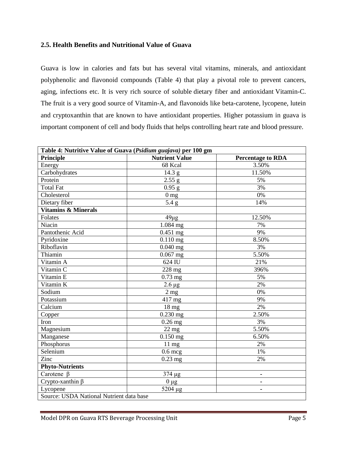#### **2.5. Health Benefits and Nutritional Value of Guava**

Guava is low in calories and fats but has several vital vitamins, minerals, and antioxidant polyphenolic and flavonoid compounds (Table 4) that play a pivotal role to prevent cancers, aging, infections etc. It is very rich source of soluble dietary fiber and antioxidant Vitamin-C. The fruit is a very good source of Vitamin-A, and flavonoids like beta-carotene, lycopene, lutein and cryptoxanthin that are known to have antioxidant properties. Higher potassium in guava is important component of cell and body fluids that helps controlling heart rate and blood pressure.

| Table 4: Nutritive Value of Guava (Psidium guajava) per 100 gm |                         |                          |  |  |  |
|----------------------------------------------------------------|-------------------------|--------------------------|--|--|--|
| <b>Principle</b>                                               | <b>Nutrient Value</b>   | <b>Percentage to RDA</b> |  |  |  |
| Energy                                                         | 68 Kcal                 | 3.50%                    |  |  |  |
| Carbohydrates                                                  | 14.3 g                  | 11.50%                   |  |  |  |
| Protein                                                        | 2.55 g                  | 5%                       |  |  |  |
| <b>Total Fat</b>                                               | $0.95$ g                | 3%                       |  |  |  |
| Cholesterol                                                    | 0 <sub>mg</sub>         | 0%                       |  |  |  |
| Dietary fiber                                                  | 5.4 g                   | 14%                      |  |  |  |
| Vitamins & Minerals                                            |                         |                          |  |  |  |
| Folates                                                        | $49\mu g$               | 12.50%                   |  |  |  |
| Niacin                                                         | 1.084 mg                | 7%                       |  |  |  |
| Pantothenic Acid                                               | $0.451$ mg              | 9%                       |  |  |  |
| Pyridoxine                                                     | $0.110$ mg              | 8.50%                    |  |  |  |
| Riboflavin                                                     | $0.040$ mg              | 3%                       |  |  |  |
| Thiamin                                                        | $0.067$ mg              | 5.50%                    |  |  |  |
| Vitamin A                                                      | 624 IU                  | 21%                      |  |  |  |
| Vitamin C                                                      | $228$ mg                | 396%                     |  |  |  |
| Vitamin E                                                      | $0.73$ mg               | 5%                       |  |  |  |
| Vitamin K                                                      | $2.6 \mu g$             | 2%                       |  |  |  |
| Sodium                                                         | $2$ mg                  | 0%                       |  |  |  |
| Potassium                                                      | 417 mg                  | 9%                       |  |  |  |
| Calcium                                                        | 18 mg                   | 2%                       |  |  |  |
| Copper                                                         | $0.230$ mg              | 2.50%                    |  |  |  |
| Iron                                                           | $0.26$ mg               | 3%                       |  |  |  |
| Magnesium                                                      | $\overline{2}2$ mg      | 5.50%                    |  |  |  |
| Manganese                                                      | $0.150$ mg              | 6.50%                    |  |  |  |
| Phosphorus                                                     | $11 \text{ mg}$         | 2%                       |  |  |  |
| Selenium                                                       | $0.6$ mcg               | 1%                       |  |  |  |
| Zinc                                                           | $0.23$ mg               | 2%                       |  |  |  |
| <b>Phyto-Nutrients</b>                                         |                         |                          |  |  |  |
| Carotene $\beta$                                               | 374 µg                  | ٠                        |  |  |  |
| Crypto-xanthin $\beta$                                         | $0 \mu g$               | ۰                        |  |  |  |
| Lycopene                                                       | $\overline{5}204 \mu g$ | ۰                        |  |  |  |
| Source: USDA National Nutrient data base                       |                         |                          |  |  |  |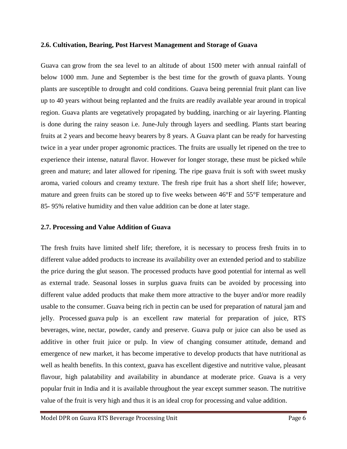#### **2.6. Cultivation, Bearing, Post Harvest Management and Storage of Guava**

Guava can grow from the sea level to an altitude of about 1500 meter with annual rainfall of below 1000 mm. June and September is the best time for the growth of guava plants. Young plants are susceptible to drought and cold conditions. Guava being perennial fruit plant can live up to 40 years without being replanted and the fruits are readily available year around in tropical region. Guava plants are vegetatively propagated by budding, inarching or air layering. Planting is done during the rainy season i.e. June-July through layers and seedling. Plants start bearing fruits at 2 years and become heavy bearers by 8 years. A Guava plant can be ready for harvesting twice in a year under proper agronomic practices. The fruits are usually let ripened on the tree to experience their intense, natural flavor. However for longer storage, these must be picked while green and mature; and later allowed for ripening. The ripe guava fruit is soft with sweet musky aroma, varied colours and creamy texture. The fresh ripe fruit has a short shelf life; however, mature and green fruits can be stored up to five weeks between 46°F and 55°F temperature and 85- 95% relative humidity and then value addition can be done at later stage.

#### **2.7. Processing and Value Addition of Guava**

The fresh fruits have limited shelf life; therefore, it is necessary to process fresh fruits in to different value added products to increase its availability over an extended period and to stabilize the price during the glut season. The processed products have good potential for internal as well as external trade. Seasonal losses in surplus guava fruits can be avoided by processing into different value added products that make them more attractive to the buyer and/or more readily usable to the consumer. Guava being rich in pectin can be used for preparation of natural jam and jelly. Processed guava pulp is an excellent raw material for preparation of juice, RTS beverages, wine, nectar, powder, candy and preserve. Guava pulp or juice can also be used as additive in other fruit juice or pulp. In view of changing consumer attitude, demand and emergence of new market, it has become imperative to develop products that have nutritional as well as health benefits. In this context, guava has excellent digestive and nutritive value, pleasant flavour, high palatability and availability in abundance at moderate price. Guava is a very popular fruit in India and it is available throughout the year except summer season. The nutritive value of the fruit is very high and thus it is an ideal crop for processing and value addition.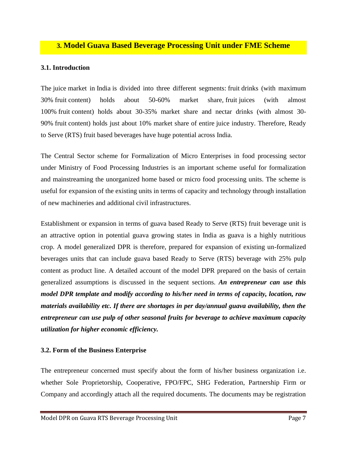# **3. Model Guava Based Beverage Processing Unit under FME Scheme**

### **3.1. Introduction**

The juice market in India is divided into three different segments: fruit drinks (with maximum 30% fruit content) holds about 50-60% market share, fruit juices (with almost 100% fruit content) holds about 30-35% market share and nectar drinks (with almost 30- 90% fruit content) holds just about 10% market share of entire juice industry. Therefore, Ready to Serve (RTS) fruit based beverages have huge potential across India.

The Central Sector scheme for Formalization of Micro Enterprises in food processing sector under Ministry of Food Processing Industries is an important scheme useful for formalization and mainstreaming the unorganized home based or micro food processing units. The scheme is useful for expansion of the existing units in terms of capacity and technology through installation of new machineries and additional civil infrastructures.

Establishment or expansion in terms of guava based Ready to Serve (RTS) fruit beverage unit is an attractive option in potential guava growing states in India as guava is a highly nutritious crop. A model generalized DPR is therefore, prepared for expansion of existing un-formalized beverages units that can include guava based Ready to Serve (RTS) beverage with 25% pulp content as product line. A detailed account of the model DPR prepared on the basis of certain generalized assumptions is discussed in the sequent sections. *An entrepreneur can use this model DPR template and modify according to his/her need in terms of capacity, location, raw materials availability etc. If there are shortages in per day/annual guava availability, then the entrepreneur can use pulp of other seasonal fruits for beverage to achieve maximum capacity utilization for higher economic efficiency.* 

#### **3.2. Form of the Business Enterprise**

The entrepreneur concerned must specify about the form of his/her business organization i.e. whether Sole Proprietorship, Cooperative, FPO/FPC, SHG Federation, Partnership Firm or Company and accordingly attach all the required documents. The documents may be registration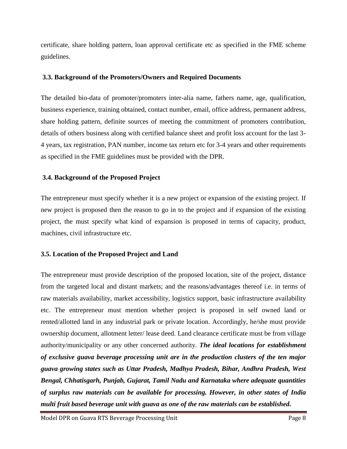certificate, share holding pattern, loan approval certificate etc as specified in the FME scheme guidelines.

#### **3.3. Background of the Promoters/Owners and Required Documents**

The detailed bio-data of promoter/promoters inter-alia name, fathers name, age, qualification, business experience, training obtained, contact number, email, office address, permanent address, share holding pattern, definite sources of meeting the commitment of promoters contribution, details of others business along with certified balance sheet and profit loss account for the last 3- 4 years, tax registration, PAN number, income tax return etc for 3-4 years and other requirements as specified in the FME guidelines must be provided with the DPR.

#### **3.4. Background of the Proposed Project**

The entrepreneur must specify whether it is a new project or expansion of the existing project. If new project is proposed then the reason to go in to the project and if expansion of the existing project, the must specify what kind of expansion is proposed in terms of capacity, product, machines, civil infrastructure etc.

### **3.5. Location of the Proposed Project and Land**

The entrepreneur must provide description of the proposed location, site of the project, distance from the targeted local and distant markets; and the reasons/advantages thereof i.e. in terms of raw materials availability, market accessibility, logistics support, basic infrastructure availability etc. The entrepreneur must mention whether project is proposed in self owned land or rented/allotted land in any industrial park or private location. Accordingly, he/she must provide ownership document, allotment letter/ lease deed. Land clearance certificate must be from village authority/municipality or any other concerned authority. *The ideal locations for establishment of exclusive guava beverage processing unit are in the production clusters of the ten major guava growing states such as Uttar Pradesh, Madhya Pradesh, Bihar, Andhra Pradesh, West Bengal, Chhatisgarh, Punjab, Gujarat, Tamil Nadu and Karnataka where adequate quantities of surplus raw materials can be available for processing. However, in other states of India multi fruit based beverage unit with guava as one of the raw materials can be established.*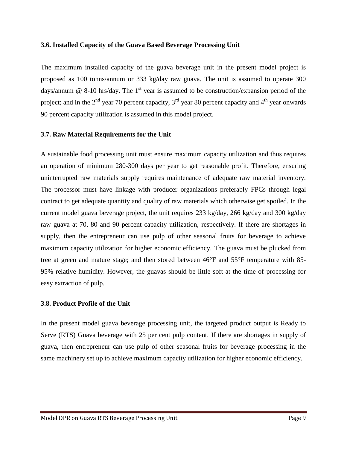#### **3.6. Installed Capacity of the Guava Based Beverage Processing Unit**

The maximum installed capacity of the guava beverage unit in the present model project is proposed as 100 tonns/annum or 333 kg/day raw guava. The unit is assumed to operate 300 days/annum  $\omega$  8-10 hrs/day. The 1<sup>st</sup> year is assumed to be construction/expansion period of the project; and in the  $2<sup>nd</sup>$  year 70 percent capacity,  $3<sup>rd</sup>$  year 80 percent capacity and  $4<sup>th</sup>$  year onwards 90 percent capacity utilization is assumed in this model project.

#### **3.7. Raw Material Requirements for the Unit**

A sustainable food processing unit must ensure maximum capacity utilization and thus requires an operation of minimum 280-300 days per year to get reasonable profit. Therefore, ensuring uninterrupted raw materials supply requires maintenance of adequate raw material inventory. The processor must have linkage with producer organizations preferably FPCs through legal contract to get adequate quantity and quality of raw materials which otherwise get spoiled. In the current model guava beverage project, the unit requires 233 kg/day, 266 kg/day and 300 kg/day raw guava at 70, 80 and 90 percent capacity utilization, respectively. If there are shortages in supply, then the entrepreneur can use pulp of other seasonal fruits for beverage to achieve maximum capacity utilization for higher economic efficiency. The guava must be plucked from tree at green and mature stage; and then stored between 46°F and 55°F temperature with 85- 95% relative humidity. However, the guavas should be little soft at the time of processing for easy extraction of pulp.

#### **3.8. Product Profile of the Unit**

In the present model guava beverage processing unit, the targeted product output is Ready to Serve (RTS) Guava beverage with 25 per cent pulp content. If there are shortages in supply of guava, then entrepreneur can use pulp of other seasonal fruits for beverage processing in the same machinery set up to achieve maximum capacity utilization for higher economic efficiency.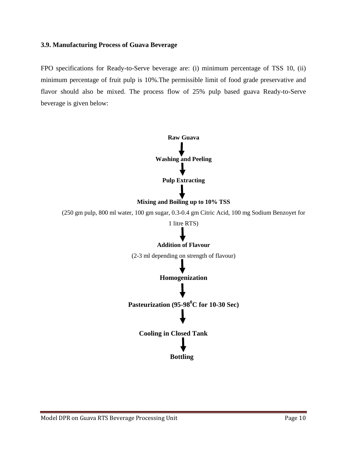#### **3.9. Manufacturing Process of Guava Beverage**

FPO specifications for Ready-to-Serve beverage are: (i) minimum percentage of TSS 10, (ii) minimum percentage of fruit pulp is 10%.The permissible limit of food grade preservative and flavor should also be mixed. The process flow of 25% pulp based guava Ready-to-Serve beverage is given below:



(2-3 ml depending on strength of flavour)

**Homogenization**

**Pasteurization (95-98<sup>0</sup>C for 10-30 Sec)**

**Cooling in Closed Tank**

 **Bottling**

Model DPR on Guava RTS Beverage Processing Unit Page 10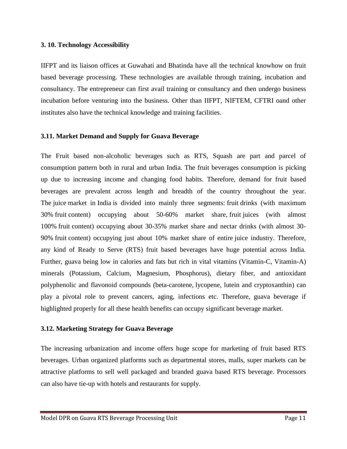#### **3. 10. Technology Accessibility**

IIFPT and its liaison offices at Guwahati and Bhatinda have all the technical knowhow on fruit based beverage processing. These technologies are available through training, incubation and consultancy. The entrepreneur can first avail training or consultancy and then undergo business incubation before venturing into the business. Other than IIFPT, NIFTEM, CFTRI oand other institutes also have the technical knowledge and training facilities.

### **3.11. Market Demand and Supply for Guava Beverage**

The Fruit based non-alcoholic beverages such as RTS, Squash are part and parcel of consumption pattern both in rural and urban India. The fruit beverages consumption is picking up due to increasing income and changing food habits. Therefore, demand for fruit based beverages are prevalent across length and breadth of the country throughout the year. The juice market in India is divided into mainly three segments: fruit drinks (with maximum 30% fruit content) occupying about 50-60% market share, fruit juices (with almost 100% fruit content) occupying about 30-35% market share and nectar drinks (with almost 30- 90% fruit content) occupying just about 10% market share of entire juice industry. Therefore, any kind of Ready to Serve (RTS) fruit based beverages have huge potential across India. Further, guava being low in calories and fats but rich in vital vitamins (Vitamin-C, Vitamin-A) minerals (Potassium, Calcium, Magnesium, Phosphorus), dietary fiber, and antioxidant polyphenolic and flavonoid compounds (beta-carotene, lycopene, lutein and cryptoxanthin) can play a pivotal role to prevent cancers, aging, infections etc. Therefore, guava beverage if highlighted properly for all these health benefits can occupy significant beverage market.

### **3.12. Marketing Strategy for Guava Beverage**

The increasing urbanization and income offers huge scope for marketing of fruit based RTS beverages. Urban organized platforms such as departmental stores, malls, super markets can be attractive platforms to sell well packaged and branded guava based RTS beverage. Processors can also have tie-up with hotels and restaurants for supply.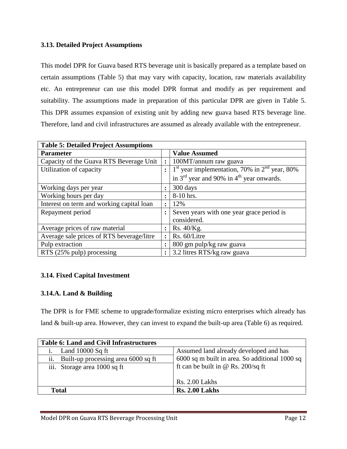# **3.13. Detailed Project Assumptions**

This model DPR for Guava based RTS beverage unit is basically prepared as a template based on certain assumptions (Table 5) that may vary with capacity, location, raw materials availability etc. An entrepreneur can use this model DPR format and modify as per requirement and suitability. The assumptions made in preparation of this particular DPR are given in Table 5. This DPR assumes expansion of existing unit by adding new guava based RTS beverage line. Therefore, land and civil infrastructures are assumed as already available with the entrepreneur.

| <b>Table 5: Detailed Project Assumptions</b> |                |                                                                               |  |  |
|----------------------------------------------|----------------|-------------------------------------------------------------------------------|--|--|
| <b>Parameter</b>                             |                | <b>Value Assumed</b>                                                          |  |  |
| Capacity of the Guava RTS Beverage Unit      |                | 100MT/annum raw guava                                                         |  |  |
| Utilization of capacity                      |                | $\vert$ 1 <sup>st</sup> year implementation, 70% in 2 <sup>nd</sup> year, 80% |  |  |
|                                              |                | in $3^{rd}$ year and 90% in $4^{th}$ year onwards.                            |  |  |
| Working days per year                        | $\ddot{\cdot}$ | 300 days                                                                      |  |  |
| Working hours per day                        | $\ddot{\cdot}$ | 8-10 hrs.                                                                     |  |  |
| Interest on term and working capital loan    | $\bullet$      | 12%                                                                           |  |  |
| Repayment period                             |                | Seven years with one year grace period is                                     |  |  |
|                                              |                | considered.                                                                   |  |  |
| Average prices of raw material               | $\ddot{\cdot}$ | Rs. $40$ /Kg.                                                                 |  |  |
| Average sale prices of RTS beverage/litre    |                | Rs. 60/Litre                                                                  |  |  |
| Pulp extraction                              |                | 800 gm pulp/kg raw guava                                                      |  |  |
| RTS (25% pulp) processing                    |                | 3.2 litres RTS/kg raw guava                                                   |  |  |

# **3.14. Fixed Capital Investment**

### **3.14.A. Land & Building**

The DPR is for FME scheme to upgrade/formalize existing micro enterprises which already has land & built-up area. However, they can invest to expand the built-up area (Table 6) as required.

| <b>Table 6: Land and Civil Infrastructures</b> |                                                |
|------------------------------------------------|------------------------------------------------|
| Land $10000$ Sq ft<br>1.                       | Assumed land already developed and has         |
| Built-up processing area 6000 sq ft<br>ii.     | 6000 sq m built in area. So additional 1000 sq |
| iii. Storage area 1000 sq ft                   | ft can be built in @ Rs. $200/\text{sq}$ ft    |
|                                                |                                                |
|                                                | Rs. 2.00 Lakhs                                 |
| Total                                          | <b>Rs. 2.00 Lakhs</b>                          |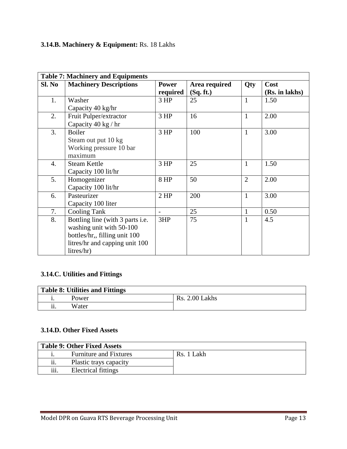# **3.14.B. Machinery & Equipment:** Rs. 18 Lakhs

|        | <b>Table 7: Machinery and Equipments</b> |                          |               |                |                |  |
|--------|------------------------------------------|--------------------------|---------------|----------------|----------------|--|
| Sl. No | <b>Machinery Descriptions</b>            | <b>Power</b>             | Area required | Qty            | Cost           |  |
|        |                                          | required                 | (Sq. ft.)     |                | (Rs. in lakhs) |  |
| 1.     | Washer                                   | 3 HP                     | 25            | $\mathbf{1}$   | 1.50           |  |
|        | Capacity 40 kg/hr                        |                          |               |                |                |  |
| 2.     | Fruit Pulper/extractor                   | 3 HP                     | 16            | $\mathbf{1}$   | 2.00           |  |
|        | Capacity 40 kg / hr                      |                          |               |                |                |  |
| 3.     | <b>Boiler</b>                            | 3 HP                     | 100           | $\mathbf{1}$   | 3.00           |  |
|        | Steam out put 10 kg                      |                          |               |                |                |  |
|        | Working pressure 10 bar                  |                          |               |                |                |  |
|        | maximum                                  |                          |               |                |                |  |
| 4.     | <b>Steam Kettle</b>                      | 3 HP                     | 25            | $\mathbf{1}$   | 1.50           |  |
|        | Capacity 100 lit/hr                      |                          |               |                |                |  |
| 5.     | Homogenizer                              | 8 HP                     | 50            | $\overline{2}$ | 2.00           |  |
|        | Capacity 100 lit/hr                      |                          |               |                |                |  |
| 6.     | Pasteurizer                              | $2$ HP                   | 200           | $\mathbf{1}$   | 3.00           |  |
|        | Capacity 100 liter                       |                          |               |                |                |  |
| 7.     | <b>Cooling Tank</b>                      | $\overline{\phantom{0}}$ | 25            | 1              | 0.50           |  |
| 8.     | Bottling line (with 3 parts i.e.         | 3HP                      | 75            | 1              | 4.5            |  |
|        | washing unit with 50-100                 |                          |               |                |                |  |
|        | bottles/hr, filling unit 100             |                          |               |                |                |  |
|        | litres/hr and capping unit 100           |                          |               |                |                |  |
|        | litres/hr)                               |                          |               |                |                |  |

# **3.14.C. Utilities and Fittings**

| Table 8: Utilities and Fittings |       |                       |  |
|---------------------------------|-------|-----------------------|--|
|                                 | Power | <b>Rs. 2.00 Lakhs</b> |  |
| ii.                             | Water |                       |  |

### **3.14.D. Other Fixed Assets**

| <b>Table 9: Other Fixed Assets</b> |                               |            |  |
|------------------------------------|-------------------------------|------------|--|
|                                    | <b>Furniture and Fixtures</b> | Rs. 1 Lakh |  |
| $\cdot \cdot$<br>11.               | Plastic trays capacity        |            |  |
| iii.                               | Electrical fittings           |            |  |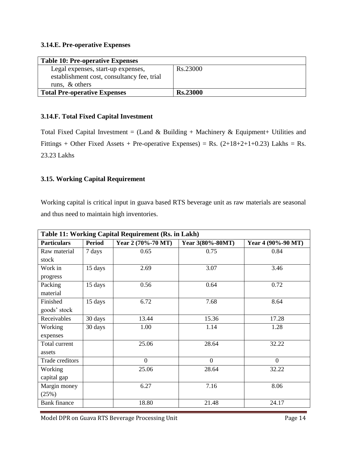# **3.14.E. Pre-operative Expenses**

| <b>Table 10: Pre-operative Expenses</b>    |                 |  |
|--------------------------------------------|-----------------|--|
| Legal expenses, start-up expenses,         | Rs.23000        |  |
| establishment cost, consultancy fee, trial |                 |  |
| runs, $\&$ others                          |                 |  |
| <b>Total Pre-operative Expenses</b>        | <b>Rs.23000</b> |  |

# **3.14.F. Total Fixed Capital Investment**

Total Fixed Capital Investment = (Land & Building + Machinery & Equipment+ Utilities and Fittings + Other Fixed Assets + Pre-operative Expenses) = Rs.  $(2+18+2+1+0.23)$  Lakhs = Rs. 23.23 Lakhs

# **3.15. Working Capital Requirement**

Working capital is critical input in guava based RTS beverage unit as raw materials are seasonal and thus need to maintain high inventories.

| Table 11: Working Capital Requirement (Rs. in Lakh) |               |                    |                  |                    |  |  |  |
|-----------------------------------------------------|---------------|--------------------|------------------|--------------------|--|--|--|
| <b>Particulars</b>                                  | <b>Period</b> | Year 2 (70%-70 MT) | Year 3(80%-80MT) | Year 4 (90%-90 MT) |  |  |  |
| Raw material                                        | 7 days        | 0.65               | 0.75             | 0.84               |  |  |  |
| stock                                               |               |                    |                  |                    |  |  |  |
| Work in                                             | 15 days       | 2.69               | 3.07             | 3.46               |  |  |  |
| progress                                            |               |                    |                  |                    |  |  |  |
| Packing                                             | 15 days       | 0.56               | 0.64             | 0.72               |  |  |  |
| material                                            |               |                    |                  |                    |  |  |  |
| Finished                                            | 15 days       | 6.72               | 7.68             | 8.64               |  |  |  |
| goods' stock                                        |               |                    |                  |                    |  |  |  |
| Receivables                                         | 30 days       | 13.44              | 15.36            | 17.28              |  |  |  |
| Working                                             | 30 days       | 1.00               | 1.14             | 1.28               |  |  |  |
| expenses                                            |               |                    |                  |                    |  |  |  |
| Total current                                       |               | 25.06              | 28.64            | 32.22              |  |  |  |
| assets                                              |               |                    |                  |                    |  |  |  |
| Trade creditors                                     |               | $\overline{0}$     | $\overline{0}$   | $\overline{0}$     |  |  |  |
| Working                                             |               | 25.06              | 28.64            | 32.22              |  |  |  |
| capital gap                                         |               |                    |                  |                    |  |  |  |
| Margin money                                        |               | 6.27               | 7.16             | 8.06               |  |  |  |
| (25%)                                               |               |                    |                  |                    |  |  |  |
| <b>Bank</b> finance                                 |               | 18.80              | 21.48            | 24.17              |  |  |  |

Model DPR on Guava RTS Beverage Processing Unit Page 14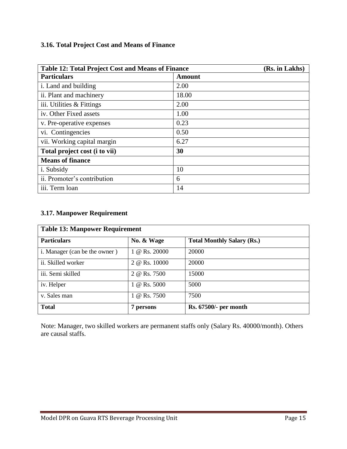# **3.16. Total Project Cost and Means of Finance**

| <b>Table 12: Total Project Cost and Means of Finance</b> | (Rs. in Lakhs) |
|----------------------------------------------------------|----------------|
| <b>Particulars</b>                                       | Amount         |
| i. Land and building                                     | 2.00           |
| ii. Plant and machinery                                  | 18.00          |
| iii. Utilities & Fittings                                | 2.00           |
| iv. Other Fixed assets                                   | 1.00           |
| v. Pre-operative expenses                                | 0.23           |
| vi. Contingencies                                        | 0.50           |
| vii. Working capital margin                              | 6.27           |
| Total project cost (i to vii)                            | 30             |
| <b>Means of finance</b>                                  |                |
| <i>i</i> . Subsidy                                       | 10             |
| ii. Promoter's contribution                              | 6              |
| iii. Term loan                                           | 14             |

# **3.17. Manpower Requirement**

| <b>Table 13: Manpower Requirement</b> |               |                                   |  |  |  |  |  |  |
|---------------------------------------|---------------|-----------------------------------|--|--|--|--|--|--|
| <b>Particulars</b>                    | No. & Wage    | <b>Total Monthly Salary (Rs.)</b> |  |  |  |  |  |  |
| i. Manager (can be the owner)         | 1 @ Rs. 20000 | 20000                             |  |  |  |  |  |  |
| ii. Skilled worker                    | 2 @ Rs. 10000 | 20000                             |  |  |  |  |  |  |
| iii. Semi skilled                     | 2 @ Rs. 7500  | 15000                             |  |  |  |  |  |  |
| iv. Helper                            | 1 @ Rs. 5000  | 5000                              |  |  |  |  |  |  |
| v. Sales man                          | 1 @ Rs. 7500  | 7500                              |  |  |  |  |  |  |
| <b>Total</b>                          | 7 persons     | Rs. 67500/- per month             |  |  |  |  |  |  |

Note: Manager, two skilled workers are permanent staffs only (Salary Rs. 40000/month). Others are causal staffs.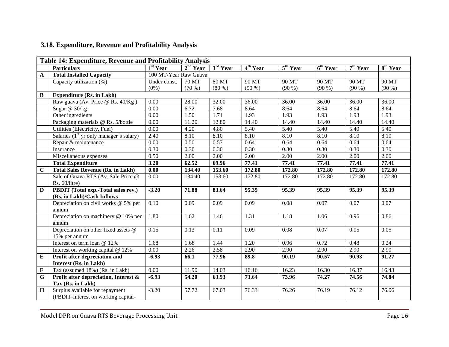# **3.18. Expenditure, Revenue and Profitability Analysis**

|              | Table 14: Expenditure, Revenue and Profitability Analysis |                       |                      |                      |                      |                      |                                 |                      |                      |
|--------------|-----------------------------------------------------------|-----------------------|----------------------|----------------------|----------------------|----------------------|---------------------------------|----------------------|----------------------|
|              | <b>Particulars</b>                                        | 1 <sup>st</sup> Year  | 2 <sup>nd</sup> Year | 3 <sup>rd</sup> Year | 4 <sup>th</sup> Year | 5 <sup>th</sup> Year | $\overline{6^{th} \text{Year}}$ | 7 <sup>th</sup> Year | 8 <sup>th</sup> Year |
| $\mathbf{A}$ | <b>Total Installed Capacity</b>                           | 100 MT/Year Raw Guava |                      |                      |                      |                      |                                 |                      |                      |
|              | Capacity utilization (%)                                  | Under const.          | 70 MT                | $80$ MT              | 90 MT                | 90 MT                | 90 MT                           | 90 MT                | 90 MT                |
|              |                                                           | $(0\%)$               | $(70\%)$             | $(80\%)$             | $(90\%)$             | $(90\%)$             | $(90\%)$                        | $(90\% )$            | $(90\%)$             |
| $\bf{B}$     | <b>Expenditure (Rs. in Lakh)</b>                          |                       |                      |                      |                      |                      |                                 |                      |                      |
|              | Raw guava (Av. Price @ Rs. 40/Kg)                         | 0.00                  | 28.00                | 32.00                | 36.00                | 36.00                | 36.00                           | 36.00                | 36.00                |
|              | Sugar $@30/kg$                                            | 0.00                  | 6.72                 | 7.68                 | 8.64                 | 8.64                 | 8.64                            | 8.64                 | 8.64                 |
|              | Other ingredients                                         | 0.00                  | 1.50                 | 1.71                 | 1.93                 | 1.93                 | 1.93                            | 1.93                 | 1.93                 |
|              | Packaging materials @ Rs. 5/bottle                        | 0.00                  | 11.20                | 12.80                | 14.40                | 14.40                | 14.40                           | 14.40                | 14.40                |
|              | Utilities (Electricity, Fuel)                             | $\overline{0.00}$     | 4.20                 | 4.80                 | 5.40                 | 5.40                 | 5.40                            | 5.40                 | 5.40                 |
|              | Salaries $(1st$ yr only manager's salary)                 | 2.40                  | 8.10                 | 8.10                 | 8.10                 | 8.10                 | 8.10                            | 8.10                 | 8.10                 |
|              | Repair & maintenance                                      | 0.00                  | 0.50                 | 0.57                 | 0.64                 | 0.64                 | 0.64                            | 0.64                 | 0.64                 |
|              | Insurance                                                 | 0.30                  | 0.30                 | 0.30                 | 0.30                 | 0.30                 | 0.30                            | 0.30                 | 0.30                 |
|              | Miscellaneous expenses                                    | 0.50                  | 2.00                 | 2.00                 | 2.00                 | 2.00                 | 2.00                            | 2.00                 | 2.00                 |
|              | <b>Total Expenditure</b>                                  | 3.20                  | 62.52                | 69.96                | 77.41                | 77.41                | 77.41                           | 77.41                | 77.41                |
| $\mathbf C$  | <b>Total Sales Revenue (Rs. in Lakh)</b>                  | 0.00                  | 134.40               | 153.60               | 172.80               | 172.80               | 172.80                          | 172.80               | 172.80               |
|              | Sale of Guava RTS (Av. Sale Price @                       | 0.00                  | 134.40               | 153.60               | 172.80               | 172.80               | 172.80                          | 172.80               | 172.80               |
|              | Rs. 60/litre)                                             |                       |                      |                      |                      |                      |                                 |                      |                      |
| D            | PBDIT (Total exp.-Total sales rev.)                       | $-3.20$               | 71.88                | 83.64                | 95.39                | 95.39                | 95.39                           | 95.39                | 95.39                |
|              | (Rs. in Lakh)/Cash Inflows                                |                       |                      |                      |                      |                      |                                 |                      |                      |
|              | Depreciation on civil works @ 5% per                      | 0.10                  | 0.09                 | 0.09                 | 0.09                 | 0.08                 | 0.07                            | 0.07                 | 0.07                 |
|              | annum                                                     |                       |                      |                      |                      |                      |                                 |                      |                      |
|              | Depreciation on machinery @ 10% per                       | 1.80                  | 1.62                 | 1.46                 | 1.31                 | 1.18                 | 1.06                            | 0.96                 | 0.86                 |
|              | annum                                                     |                       |                      |                      |                      |                      |                                 |                      |                      |
|              | Depreciation on other fixed assets @                      | 0.15                  | 0.13                 | 0.11                 | 0.09                 | 0.08                 | 0.07                            | 0.05                 | 0.05                 |
|              | 15% per annum                                             |                       |                      |                      |                      |                      |                                 |                      |                      |
|              | Interest on term loan @ 12%                               | 1.68                  | 1.68                 | 1.44                 | 1.20                 | 0.96                 | 0.72                            | 0.48                 | 0.24                 |
|              | Interest on working capital @ 12%                         | 0.00                  | 2.26                 | 2.58                 | 2.90                 | 2.90                 | 2.90                            | 2.90                 | 2.90                 |
| ${\bf E}$    | Profit after depreciation and                             | $-6.93$               | 66.1                 | 77.96                | 89.8                 | 90.19                | 90.57                           | 90.93                | 91.27                |
|              | <b>Interest (Rs. in Lakh)</b>                             |                       |                      |                      |                      |                      |                                 |                      |                      |
| $\mathbf F$  | Tax (assumed 18%) (Rs. in Lakh)                           | 0.00                  | 11.90                | 14.03                | 16.16                | 16.23                | 16.30                           | 16.37                | 16.43                |
| G            | Profit after depreciation, Interest &                     | $-6.93$               | 54.20                | 63.93                | 73.64                | 73.96                | 74.27                           | 74.56                | 74.84                |
|              | Tax (Rs. in Lakh)                                         |                       |                      |                      |                      |                      |                                 |                      |                      |
| $\mathbf H$  | Surplus available for repayment                           | $-3.20$               | 57.72                | 67.03                | 76.33                | 76.26                | 76.19                           | 76.12                | 76.06                |
|              | (PBDIT-Interest on working capital-                       |                       |                      |                      |                      |                      |                                 |                      |                      |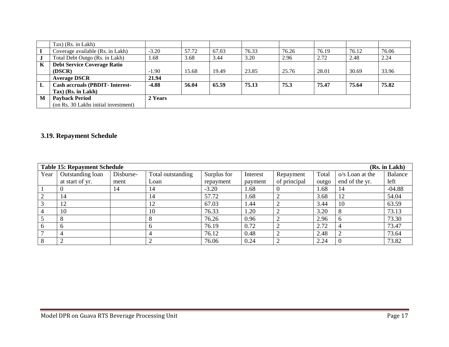|   | $\text{Tax}$ (Rs. in Lakh)             |                |       |       |       |       |       |       |       |
|---|----------------------------------------|----------------|-------|-------|-------|-------|-------|-------|-------|
|   | Coverage available (Rs. in Lakh)       | $-3.20$        | 57.72 | 67.03 | 76.33 | 76.26 | 76.19 | 76.12 | 76.06 |
| J | Total Debt Outgo (Rs. in Lakh)         | .68            | 3.68  | 3.44  | 3.20  | 2.96  | 2.72  | 2.48  | 2.24  |
| K | <b>Debt Service Coverage Ratio</b>     |                |       |       |       |       |       |       |       |
|   | (DSCR)                                 | $-1.90$        | 15.68 | 19.49 | 23.85 | 25.76 | 28.01 | 30.69 | 33.96 |
|   | <b>Average DSCR</b>                    | 21.94          |       |       |       |       |       |       |       |
|   | <b>Cash accruals (PBDIT- Interest-</b> | $-4.88$        | 56.04 | 65.59 | 75.13 | 75.3  | 75.47 | 75.64 | 75.82 |
|   | Tax) (Rs. in Lakh)                     |                |       |       |       |       |       |       |       |
| M | <b>Payback Period</b>                  | <b>2 Years</b> |       |       |       |       |       |       |       |
|   | (on Rs. 30 Lakhs initial investment)   |                |       |       |       |       |       |       |       |

# **3.19. Repayment Schedule**

|      | <b>Table 15: Repayment Schedule</b> |           |                   |             |          |              |       |                 | (Rs. in Lakh)  |
|------|-------------------------------------|-----------|-------------------|-------------|----------|--------------|-------|-----------------|----------------|
| Year | Outstanding loan                    | Disburse- | Total outstanding | Surplus for | Interest | Repayment    | Total | o/s Loan at the | <b>Balance</b> |
|      | at start of yr.                     | ment      | Loan              | repayment   | payment  | of principal | outgo | end of the yr.  | left           |
|      |                                     | 14        | 14                | $-3.20$     | 1.68     |              | 1.68  | 14              | $-04.88$       |
|      | 14                                  |           | 14                | 57.72       | 1.68     |              | 3.68  | 12              | 54.04          |
|      | 12                                  |           | 12                | 67.03       | 1.44     |              | 3.44  | 10              | 63.59          |
|      | 10                                  |           | 10                | 76.33       | 1.20     | ◠            | 3.20  | 8               | 73.13          |
|      | 8                                   |           |                   | 76.26       | 0.96     |              | 2.96  | 6               | 73.30          |
|      | 6                                   |           |                   | 76.19       | 0.72     | ∍            | 2.72  | $\overline{4}$  | 73.47          |
|      |                                     |           | 4                 | 76.12       | 0.48     |              | 2.48  |                 | 73.64          |
|      | ◠                                   |           |                   | 76.06       | 0.24     | $\bigcap$    | 2.24  | $\Omega$        | 73.82          |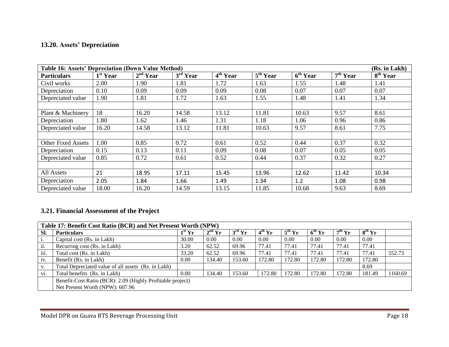# **13.20. Assets' Depreciation**

|                           | <b>Table 16: Assets' Depreciation (Down Value Method)</b><br>(Rs. in Lakh) |            |            |                                 |                                 |                                 |                      |                      |  |  |
|---------------------------|----------------------------------------------------------------------------|------------|------------|---------------------------------|---------------------------------|---------------------------------|----------------------|----------------------|--|--|
| <b>Particulars</b>        | 1 <sup>st</sup> Year                                                       | $2nd$ Year | $3rd$ Year | $\overline{4}^{\text{th}}$ Year | $\overline{5}^{\text{th}}$ Year | $\overline{6}^{\text{th}}$ Year | 7 <sup>th</sup> Year | 8 <sup>th</sup> Year |  |  |
| Civil works               | 2.00                                                                       | 1.90       | 1.81       | 1.72                            | 1.63                            | 1.55                            | 1.48                 | 1.41                 |  |  |
| Depreciation              | 0.10                                                                       | 0.09       | 0.09       | 0.09                            | 0.08                            | 0.07                            | 0.07                 | 0.07                 |  |  |
| Depreciated value         | 1.90                                                                       | 1.81       | 1.72       | 1.63                            | 1.55                            | 1.48                            | 1.41                 | 1.34                 |  |  |
|                           |                                                                            |            |            |                                 |                                 |                                 |                      |                      |  |  |
| Plant & Machinery         | 18                                                                         | 16.20      | 14.58      | 13.12                           | 11.81                           | 10.63                           | 9.57                 | 8.61                 |  |  |
| Depreciation              | 1.80                                                                       | 1.62       | 1.46       | 1.31                            | 1.18                            | 1.06                            | 0.96                 | 0.86                 |  |  |
| Depreciated value         | 16.20                                                                      | 14.58      | 13.12      | 11.81                           | 10.63                           | 9.57                            | 8.61                 | 7.75                 |  |  |
|                           |                                                                            |            |            |                                 |                                 |                                 |                      |                      |  |  |
| <b>Other Fixed Assets</b> | 1.00                                                                       | 0.85       | 0.72       | 0.61                            | 0.52                            | 0.44                            | 0.37                 | 0.32                 |  |  |
| Depreciation              | 0.15                                                                       | 0.13       | 0.11       | 0.09                            | 0.08                            | 0.07                            | 0.05                 | 0.05                 |  |  |
| Depreciated value         | 0.85                                                                       | 0.72       | 0.61       | 0.52                            | 0.44                            | 0.37                            | 0.32                 | 0.27                 |  |  |
|                           |                                                                            |            |            |                                 |                                 |                                 |                      |                      |  |  |
| All Assets                | 21                                                                         | 18.95      | 17.11      | 15.45                           | 13.96                           | 12.62                           | 11.42                | 10.34                |  |  |
| Depreciation              | 2.05                                                                       | 1.84       | 1.66       | 1.49                            | 1.34                            | 1.2                             | 1.08                 | 0.98                 |  |  |
| Depreciated value         | 18.00                                                                      | 16.20      | 14.59      | 13.15                           | 11.85                           | 10.68                           | 9.63                 | 8.69                 |  |  |

# **3.21. Financial Assessment of the Project**

|           | Table 17: Benefit Cost Ratio (BCR) and Net Present Worth (NPW) |          |          |                 |          |                    |          |          |             |         |
|-----------|----------------------------------------------------------------|----------|----------|-----------------|----------|--------------------|----------|----------|-------------|---------|
| Sl.       | <b>Particulars</b>                                             | $1st$ Yr | $2nd$ Yr | $3^{\rm rd}$ Yr | $4th$ Yr | $5^{\text{th}}$ Yr | $6th$ Yr | $7th$ Yr | $8^{th}$ Yr |         |
| <i>i.</i> | Capital cost (Rs. in Lakh)                                     | 30.00    | 0.00     | 0.00            | 0.00     | 0.00               | 0.00     | 0.00     | 0.00        |         |
| ii.       | Recurring cost (Rs. in Lakh)                                   | 3.20     | 62.52    | 69.96           | 77.41    | 77.41              | 77.41    | 77.41    | 77.41       |         |
| iii.      | Total cost (Rs. in Lakh)                                       | 33.20    | 62.52    | 69.96           | 77.41    | 77.41              | 77.41    | 77.41    | 77.41       | 552.73  |
| iv.       | Benefit (Rs. in Lakh)                                          | 0.00     | 134.40   | 153.60          | 172.80   | 172.80             | 172.80   | 172.80   | 172.80      |         |
| V.        | Total Depreciated value of all assets (Rs. in Lakh)            |          |          |                 |          |                    |          |          | 8.69        |         |
| vi.       | Total benefits (Rs. in Lakh)                                   | 0.00     | 134.40   | 153.60          | 172.80   | 172.80             | 172.80   | 172.80   | 181.49      | 1160.69 |
|           | Benefit-Cost Ratio (BCR): 2.09 (Highly Profitable project)     |          |          |                 |          |                    |          |          |             |         |
|           | Net Present Worth (NPW): 607.96                                |          |          |                 |          |                    |          |          |             |         |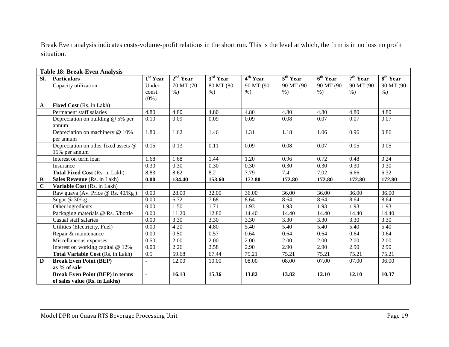Break Even analysis indicates costs-volume-profit relations in the short run. This is the level at which, the firm is in no loss no profit situation.

|             | <b>Table 18: Break-Even Analysis</b>   |                          |                      |            |                      |                                 |                      |                          |            |
|-------------|----------------------------------------|--------------------------|----------------------|------------|----------------------|---------------------------------|----------------------|--------------------------|------------|
| Sl.         | <b>Particulars</b>                     | $\overline{1^{st}}$ Year | 2 <sup>nd</sup> Year | $3rd$ Year | 4 <sup>th</sup> Year | $\overline{5^{th} \text{Year}}$ | 6 <sup>th</sup> Year | $\overline{7^{th}}$ Year | $8th$ Year |
|             | Capacity utilization                   | Under                    | 70 MT (70            | 80 MT (80  | 90 MT (90            | 90 MT (90                       | 90 MT (90            | 90 MT (90                | 90 MT (90  |
|             |                                        | const.                   | $\%$ )               | $%$ )      | $%$ )                | $%$ )                           | $%$ )                | $%$ )                    | $%$ )      |
|             |                                        | $(0\%)$                  |                      |            |                      |                                 |                      |                          |            |
| A           | <b>Fixed Cost (Rs. in Lakh)</b>        |                          |                      |            |                      |                                 |                      |                          |            |
|             | Permanent staff salaries               | 4.80                     | 4.80                 | 4.80       | 4.80                 | 4.80                            | 4.80                 | 4.80                     | 4.80       |
|             | Depreciation on building $@$ 5% per    | 0.10                     | 0.09                 | 0.09       | 0.09                 | 0.08                            | 0.07                 | 0.07                     | 0.07       |
|             | annum                                  |                          |                      |            |                      |                                 |                      |                          |            |
|             | Depreciation on machinery @ 10%        | 1.80                     | 1.62                 | 1.46       | 1.31                 | 1.18                            | 1.06                 | 0.96                     | 0.86       |
|             | per annum                              |                          |                      |            |                      |                                 |                      |                          |            |
|             | Depreciation on other fixed assets @   | 0.15                     | 0.13                 | 0.11       | 0.09                 | 0.08                            | 0.07                 | 0.05                     | 0.05       |
|             | 15% per annum                          |                          |                      |            |                      |                                 |                      |                          |            |
|             | Interest on term loan                  | 1.68                     | 1.68                 | 1.44       | 1.20                 | 0.96                            | 0.72                 | 0.48                     | 0.24       |
|             | Insurance                              | 0.30                     | 0.30                 | 0.30       | 0.30                 | 0.30                            | 0.30                 | 0.30                     | 0.30       |
|             | Total Fixed Cost (Rs. in Lakh)         | 8.83                     | 8.62                 | 8.2        | 7.79                 | 7.4                             | 7.02                 | 6.66                     | 6.32       |
| B           | Sales Revenue (Rs. in Lakh)            | 0.00                     | 134.40               | 153.60     | 172.80               | 172.80                          | 172.80               | 172.80                   | 172.80     |
| $\mathbf C$ | Variable Cost (Rs. in Lakh)            |                          |                      |            |                      |                                 |                      |                          |            |
|             | Raw guava (Av. Price @ Rs. 40/Kg)      | 0.00                     | 28.00                | 32.00      | 36.00                | 36.00                           | 36.00                | 36.00                    | 36.00      |
|             | Sugar @ 30/kg                          | 0.00                     | 6.72                 | 7.68       | 8.64                 | 8.64                            | 8.64                 | 8.64                     | 8.64       |
|             | $\overline{O}$ ther ingredients        | 0.00                     | 1.50                 | 1.71       | 1.93                 | 1.93                            | 1.93                 | 1.93                     | 1.93       |
|             | Packaging materials @ Rs. 5/bottle     | 0.00                     | 11.20                | 12.80      | 14.40                | 14.40                           | 14.40                | 14.40                    | 14.40      |
|             | Casual staff salaries                  | 0.00                     | 3.30                 | 3.30       | 3.30                 | 3.30                            | 3.30                 | 3.30                     | 3.30       |
|             | Utilities (Electricity, Fuel)          | 0.00                     | 4.20                 | 4.80       | 5.40                 | 5.40                            | 5.40                 | 5.40                     | 5.40       |
|             | Repair & maintenance                   | 0.00                     | 0.50                 | 0.57       | 0.64                 | 0.64                            | 0.64                 | 0.64                     | 0.64       |
|             | Miscellaneous expenses                 | 0.50                     | 2.00                 | 2.00       | 2.00                 | 2.00                            | 2.00                 | 2.00                     | 2.00       |
|             | Interest on working capital @ 12%      | 0.00                     | 2.26                 | 2.58       | 2.90                 | 2.90                            | 2.90                 | 2.90                     | 2.90       |
|             | Total Variable Cost (Rs. in Lakh)      | 0.5                      | 59.68                | 67.44      | 75.21                | 75.21                           | 75.21                | 75.21                    | 75.21      |
| D           | <b>Break Even Point (BEP)</b>          |                          | 12.00                | 10.00      | 08.00                | 08.00                           | 07.00                | 07.00                    | 06.00      |
|             | as % of sale                           |                          |                      |            |                      |                                 |                      |                          |            |
|             | <b>Break Even Point (BEP) in terms</b> | ä,                       | 16.13                | 15.36      | 13.82                | 13.82                           | 12.10                | 12.10                    | 10.37      |
|             | of sales value (Rs. in Lakhs)          |                          |                      |            |                      |                                 |                      |                          |            |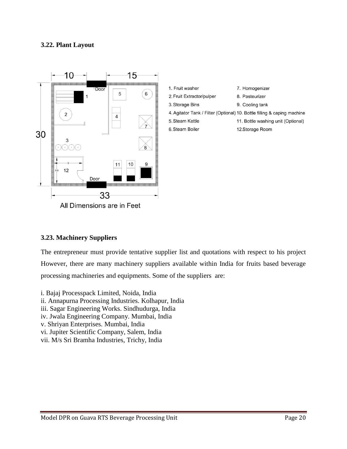### **3.22. Plant Layout**



| 1. Fruit washer           | 7. Homogenizer                                                           |
|---------------------------|--------------------------------------------------------------------------|
| 2. Fruit Extractor/pulper | 8. Pasteurizer                                                           |
| 3. Storage Bins           | 9. Cooling tank                                                          |
|                           | 4. Agitator Tank / Filter (Optional) 10. Bottle filling & caping machine |
| 5. Steam Kettle           | 11. Bottle washing unit (Optional)                                       |
| 6. Steam Boiler           | 12.Storage Room                                                          |
|                           |                                                                          |

#### **3.23. Machinery Suppliers**

The entrepreneur must provide tentative supplier list and quotations with respect to his project However, there are many machinery suppliers available within India for fruits based beverage processing machineries and equipments. Some of the suppliers are:

i. Bajaj Processpack Limited, Noida, India ii. Annapurna Processing Industries. Kolhapur, India iii. Sagar Engineering Works. Sindhudurga, India iv. Jwala Engineering Company. Mumbai, India v. Shriyan Enterprises. Mumbai, India vi. Jupiter Scientific Company, Salem, India vii. M/s Sri Bramha Industries, Trichy, India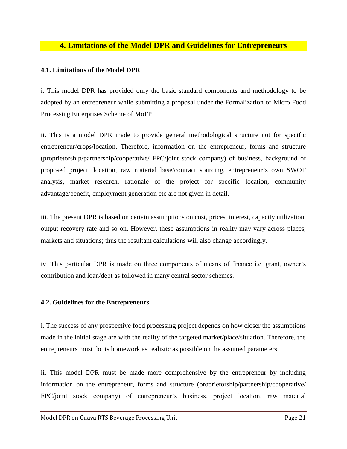# **4. Limitations of the Model DPR and Guidelines for Entrepreneurs**

#### **4.1. Limitations of the Model DPR**

i. This model DPR has provided only the basic standard components and methodology to be adopted by an entrepreneur while submitting a proposal under the Formalization of Micro Food Processing Enterprises Scheme of MoFPI.

ii. This is a model DPR made to provide general methodological structure not for specific entrepreneur/crops/location. Therefore, information on the entrepreneur, forms and structure (proprietorship/partnership/cooperative/ FPC/joint stock company) of business, background of proposed project, location, raw material base/contract sourcing, entrepreneur's own SWOT analysis, market research, rationale of the project for specific location, community advantage/benefit, employment generation etc are not given in detail.

iii. The present DPR is based on certain assumptions on cost, prices, interest, capacity utilization, output recovery rate and so on. However, these assumptions in reality may vary across places, markets and situations; thus the resultant calculations will also change accordingly.

iv. This particular DPR is made on three components of means of finance i.e. grant, owner's contribution and loan/debt as followed in many central sector schemes.

#### **4.2. Guidelines for the Entrepreneurs**

i. The success of any prospective food processing project depends on how closer the assumptions made in the initial stage are with the reality of the targeted market/place/situation. Therefore, the entrepreneurs must do its homework as realistic as possible on the assumed parameters.

ii. This model DPR must be made more comprehensive by the entrepreneur by including information on the entrepreneur, forms and structure (proprietorship/partnership/cooperative/ FPC/joint stock company) of entrepreneur's business, project location, raw material